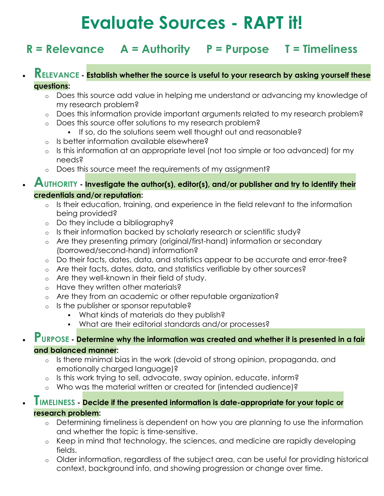# **Evaluate Sources - RAPT it!**

## **R = Relevance A = Authority P = Purpose T = Timeliness**

#### **RELEVANCE - Establish whether the source is useful to your research by asking yourself these questions:**

- o Does this source add value in helping me understand or advancing my knowledge of my research problem?
- o Does this information provide important arguments related to my research problem?
- o Does this source offer solutions to my research problem?
	- If so, do the solutions seem well thought out and reasonable?
- o Is better information available elsewhere?
- o Is this information at an appropriate level (not too simple or too advanced) for my needs?
- o Does this source meet the requirements of my assignment?

### **AUTHORITY - Investigate the author(s), editor(s), and/or publisher and try to identify their credentials and/or reputation:**

- o Is their education, training, and experience in the field relevant to the information being provided?
- o Do they include a bibliography?
- o Is their information backed by scholarly research or scientific study?
- o Are they presenting primary (original/first-hand) information or secondary (borrowed/second-hand) information?
- o Do their facts, dates, data, and statistics appear to be accurate and error-free?
- o Are their facts, dates, data, and statistics verifiable by other sources?
- o Are they well-known in their field of study.
- o Have they written other materials?
- o Are they from an academic or other reputable organization?
- o Is the publisher or sponsor reputable?
	- What kinds of materials do they publish?
	- What are their editorial standards and/or processes?

### **PURPOSE - Determine why the information was created and whether it is presented in a fair and balanced manner:**

- o Is there minimal bias in the work (devoid of strong opinion, propaganda, and emotionally charged language)?
- o Is this work trying to sell, advocate, sway opinion, educate, inform?
- o Who was the material written or created for (intended audience)?

#### **TIMELINESS - Decide if the presented information is date-appropriate for your topic or research problem:**

- o Determining timeliness is dependent on how you are planning to use the information and whether the topic is time-sensitive.
- o Keep in mind that technology, the sciences, and medicine are rapidly developing fields.
- o Older information, regardless of the subject area, can be useful for providing historical context, background info, and showing progression or change over time.